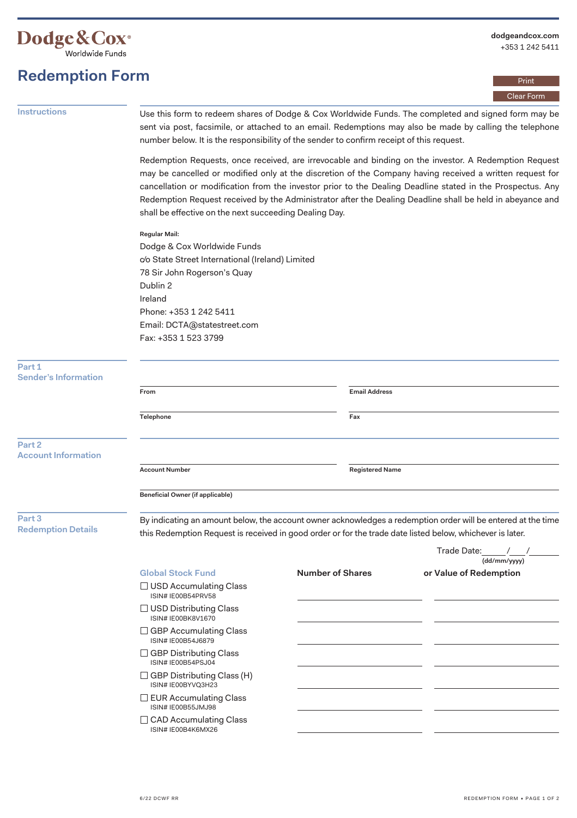

Print Clear Form

## **Redemption Form Instructions** Use this form to redeem shares of Dodge & Cox Worldwide Funds. The completed and signed form may be sent via post, facsimile, or attached to an email. Redemptions may also be made by calling the telephone number below. It is the responsibility of the sender to confirm receipt of this request. Redemption Requests, once received, are irrevocable and binding on the investor. A Redemption Request may be cancelled or modified only at the discretion of the Company having received a written request for cancellation or modification from the investor prior to the Dealing Deadline stated in the Prospectus. Any Redemption Request received by the Administrator after the Dealing Deadline shall be held in abeyance and shall be effective on the next succeeding Dealing Day. **Regular Mail:**  Dodge & Cox Worldwide Funds c/o State Street International (Ireland) Limited 78 Sir John Rogerson's Quay Dublin 2 Ireland Phone: +353 1 242 5411 Email: DCTA@statestreet.com Fax: +353 1 523 3799 **Part 1 Sender's Information From Email Address Telephone Fax Part 2 Account Information Account Number Registered Name Beneficial Owner (if applicable) Part 3 Redemption Details**   $\Box$  USD Accumulating Class ISIN# IE00B54PRV58

By indicating an amount below, the account owner acknowledges a redemption order will be entered at the time this Redemption Request is received in good order or for the trade date listed below, whichever is later. Trade Date: <u>(dd/mm/yyyy)</u> **Global Stock Fund Number of Shares or Value of Redemption**   $\square$  USD Distributing Class  $\Box$  GBP Accumulating Class  $\Box$  GBP Distributing Class  $\Box$  GBP Distributing Class (H) ISIN# IE00BK8V1670 ISIN# IE00B54J6879 ISIN# IE00B54PSJ04 ISIN# IE00BYVQ3H23

- $\Box$  EUR Accumulating Class ISIN# IE00B55JMJ98
- $\Box$  CAD Accumulating Class ISIN# IE00B4K6MX26